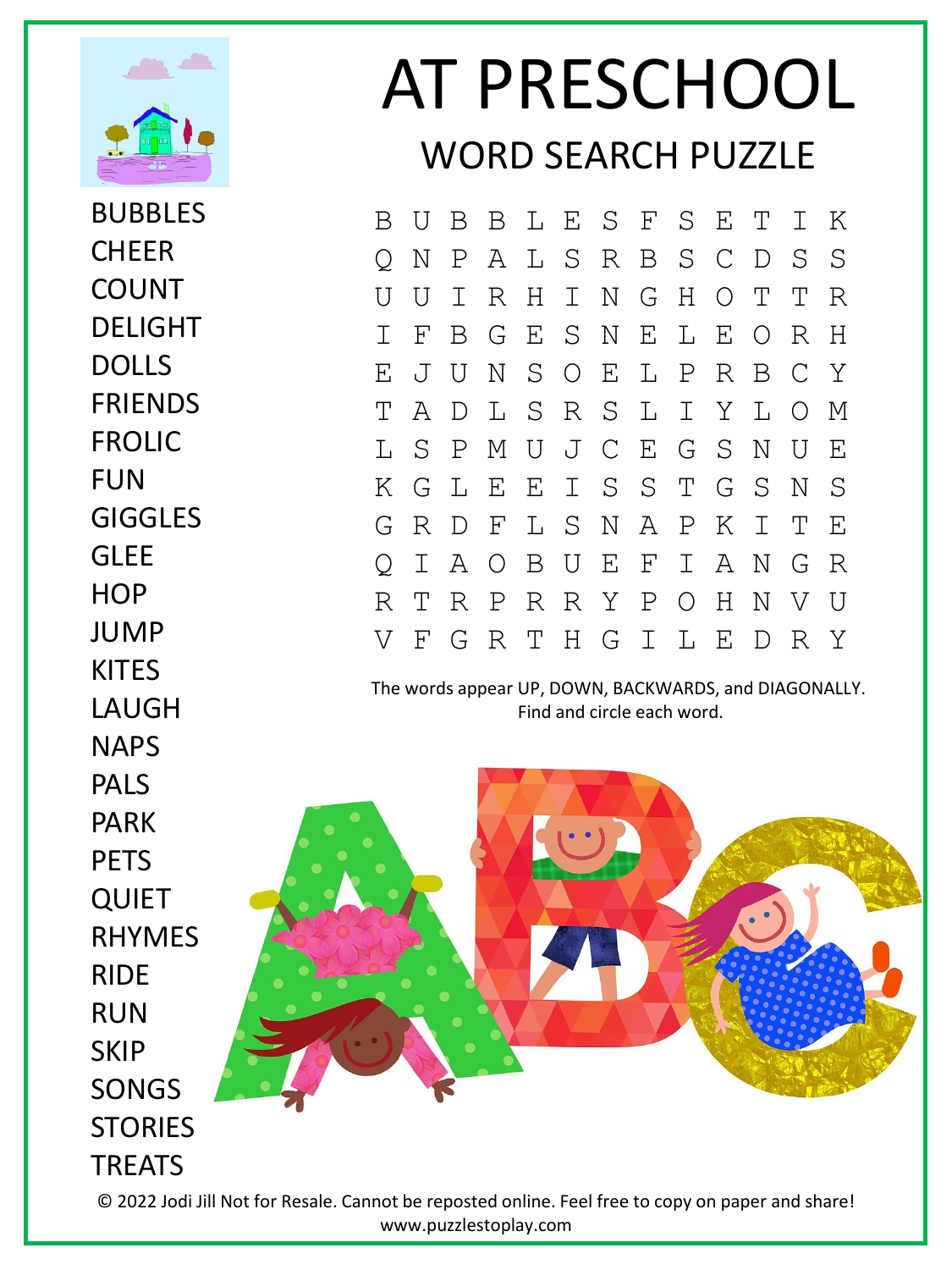

BUBBLES **CHFFR** COUNT DELIGHT DOLLS FRIENDS FROLIC FUN GIGGLES GLEE **HOP** JUMP **KITFS** LAUGH NAPS PALS PARK **PFTS QUIET** RHYMES RIDE RUN **SKIP** SONGS **STORIES** TREATS

## AT PRESCHOOL WORD SEARCH PUZZLE

B U B B L E S F S E T I K Q N P A L S R B S C D S S U U I R H I N G H O T T R I F B G E S N E L E O R H E J U N S O E L P R B C Y T A D L S R S L I Y L O M L S P M U J C E G S N U E K G L E E I S S T G S N S G R D F L S N A P K I T E Q I A O B U E F I A N G R R T R P R R Y P O H N V U V F G R T H G I L E D R Y

The words appear UP, DOWN, BACKWARDS, and DIAGONALLY. Find and circle each word.

© 2022 Jodi Jill Not for Resale. Cannot be reposted online. Feel free to copy on paper and share! www.puzzlestoplay.com